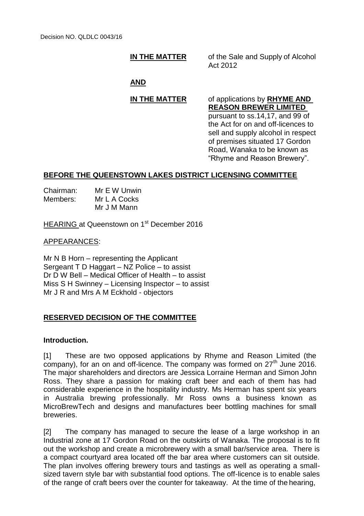**IN THE MATTER** of the Sale and Supply of Alcohol Act 2012

## **AND**

# **IN THE MATTER** of applications by **RHYME AND**

**REASON BREWER LIMITED**  pursuant to ss.14,17, and 99 of the Act for on and off-licences to sell and supply alcohol in respect of premises situated 17 Gordon Road, Wanaka to be known as "Rhyme and Reason Brewery".

## **BEFORE THE QUEENSTOWN LAKES DISTRICT LICENSING COMMITTEE**

| Chairman: | Mr E W Unwin |  |
|-----------|--------------|--|
| Members:  | Mr L A Cocks |  |
|           | Mr J M Mann  |  |

HEARING at Queenstown on 1<sup>st</sup> December 2016

### APPEARANCES:

Mr N B Horn – representing the Applicant Sergeant T D Haggart – NZ Police – to assist Dr D W Bell – Medical Officer of Health – to assist Miss S H Swinney – Licensing Inspector – to assist Mr J R and Mrs A M Eckhold - objectors

## **RESERVED DECISION OF THE COMMITTEE**

### **Introduction.**

[1] These are two opposed applications by Rhyme and Reason Limited (the company), for an on and off-licence. The company was formed on 27<sup>th</sup> June 2016. The major shareholders and directors are Jessica Lorraine Herman and Simon John Ross. They share a passion for making craft beer and each of them has had considerable experience in the hospitality industry. Ms Herman has spent six years in Australia brewing professionally. Mr Ross owns a business known as MicroBrewTech and designs and manufactures beer bottling machines for small breweries.

[2] The company has managed to secure the lease of a large workshop in an Industrial zone at 17 Gordon Road on the outskirts of Wanaka. The proposal is to fit out the workshop and create a microbrewery with a small bar/service area. There is a compact courtyard area located off the bar area where customers can sit outside. The plan involves offering brewery tours and tastings as well as operating a smallsized tavern style bar with substantial food options. The off-licence is to enable sales of the range of craft beers over the counter for takeaway. At the time of the hearing,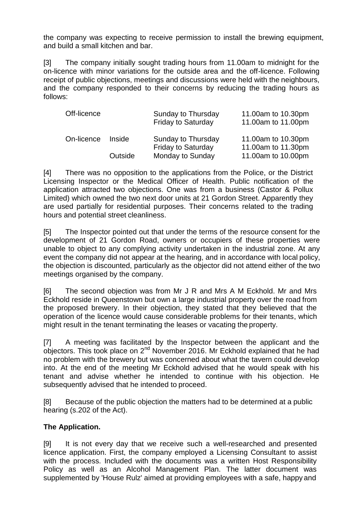the company was expecting to receive permission to install the brewing equipment, and build a small kitchen and bar.

[3] The company initially sought trading hours from 11.00am to midnight for the on-licence with minor variations for the outside area and the off-licence. Following receipt of public objections, meetings and discussions were held with the neighbours, and the company responded to their concerns by reducing the trading hours as follows:

|               | Sunday to Thursday<br><b>Friday to Saturday</b> | 11.00am to 10.30pm<br>11.00am to 11.00pm |
|---------------|-------------------------------------------------|------------------------------------------|
| <i>Inside</i> | Sunday to Thursday                              | 11.00am to 10.30pm<br>11.00am to 11.30pm |
| Outside       | Monday to Sunday                                | 11.00am to 10.00pm                       |
|               |                                                 | <b>Friday to Saturday</b>                |

[4] There was no opposition to the applications from the Police, or the District Licensing Inspector or the Medical Officer of Health. Public notification of the application attracted two objections. One was from a business (Castor & Pollux Limited) which owned the two next door units at 21 Gordon Street. Apparently they are used partially for residential purposes. Their concerns related to the trading hours and potential street cleanliness.

[5] The Inspector pointed out that under the terms of the resource consent for the development of 21 Gordon Road, owners or occupiers of these properties were unable to object to any complying activity undertaken in the industrial zone. At any event the company did not appear at the hearing, and in accordance with local policy, the objection is discounted, particularly as the objector did not attend either of the two meetings organised by the company.

[6] The second objection was from Mr J R and Mrs A M Eckhold. Mr and Mrs Eckhold reside in Queenstown but own a large industrial property over the road from the proposed brewery. In their objection, they stated that they believed that the operation of the licence would cause considerable problems for their tenants, which might result in the tenant terminating the leases or vacating the property.

[7] A meeting was facilitated by the Inspector between the applicant and the objectors. This took place on 2<sup>nd</sup> November 2016. Mr Eckhold explained that he had no problem with the brewery but was concerned about what the tavern could develop into. At the end of the meeting Mr Eckhold advised that he would speak with his tenant and advise whether he intended to continue with his objection. He subsequently advised that he intended to proceed.

[8] Because of the public objection the matters had to be determined at a public hearing (s.202 of the Act).

# **The Application.**

[9] It is not every day that we receive such a well-researched and presented licence application. First, the company employed a Licensing Consultant to assist with the process. Included with the documents was a written Host Responsibility Policy as well as an Alcohol Management Plan. The latter document was supplemented by 'House Rulz' aimed at providing employees with a safe, happy and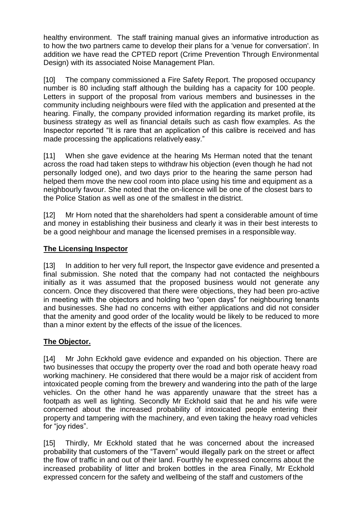healthy environment. The staff training manual gives an informative introduction as to how the two partners came to develop their plans for a 'venue for conversation'. In addition we have read the CPTED report (Crime Prevention Through Environmental Design) with its associated Noise Management Plan.

[10] The company commissioned a Fire Safety Report. The proposed occupancy number is 80 including staff although the building has a capacity for 100 people. Letters in support of the proposal from various members and businesses in the community including neighbours were filed with the application and presented at the hearing. Finally, the company provided information regarding its market profile, its business strategy as well as financial details such as cash flow examples. As the Inspector reported "It is rare that an application of this calibre is received and has made processing the applications relatively easy."

[11] When she gave evidence at the hearing Ms Herman noted that the tenant across the road had taken steps to withdraw his objection (even though he had not personally lodged one), and two days prior to the hearing the same person had helped them move the new cool room into place using his time and equipment as a neighbourly favour. She noted that the on-licence will be one of the closest bars to the Police Station as well as one of the smallest in the district.

[12] Mr Horn noted that the shareholders had spent a considerable amount of time and money in establishing their business and clearly it was in their best interests to be a good neighbour and manage the licensed premises in a responsible way.

## **The Licensing Inspector**

[13] In addition to her very full report, the Inspector gave evidence and presented a final submission. She noted that the company had not contacted the neighbours initially as it was assumed that the proposed business would not generate any concern. Once they discovered that there were objections, they had been pro-active in meeting with the objectors and holding two "open days" for neighbouring tenants and businesses. She had no concerns with either applications and did not consider that the amenity and good order of the locality would be likely to be reduced to more than a minor extent by the effects of the issue of the licences.

# **The Objector.**

[14] Mr John Eckhold gave evidence and expanded on his objection. There are two businesses that occupy the property over the road and both operate heavy road working machinery. He considered that there would be a major risk of accident from intoxicated people coming from the brewery and wandering into the path of the large vehicles. On the other hand he was apparently unaware that the street has a footpath as well as lighting. Secondly Mr Eckhold said that he and his wife were concerned about the increased probability of intoxicated people entering their property and tampering with the machinery, and even taking the heavy road vehicles for "joy rides".

[15] Thirdly, Mr Eckhold stated that he was concerned about the increased probability that customers of the "Tavern" would illegally park on the street or affect the flow of traffic in and out of their land. Fourthly he expressed concerns about the increased probability of litter and broken bottles in the area Finally, Mr Eckhold expressed concern for the safety and wellbeing of the staff and customers of the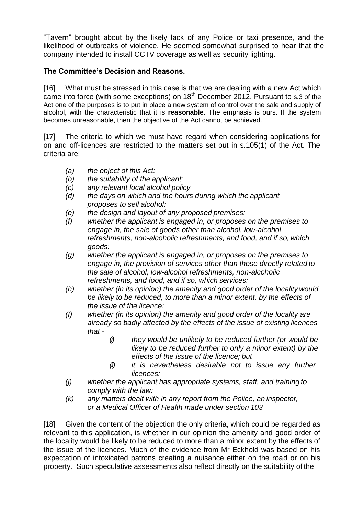"Tavern" brought about by the likely lack of any Police or taxi presence, and the likelihood of outbreaks of violence. He seemed somewhat surprised to hear that the company intended to install CCTV coverage as well as security lighting.

# **The Committee's Decision and Reasons.**

[16] What must be stressed in this case is that we are dealing with a new Act which came into force (with some exceptions) on  $18<sup>th</sup>$  December 2012. Pursuant to s.3 of the Act one of the purposes is to put in place a new system of control over the sale and supply of alcohol, with the characteristic that it is **reasonable**. The emphasis is ours. If the system becomes unreasonable, then the objective of the Act cannot be achieved.

[17] The criteria to which we must have regard when considering applications for on and off-licences are restricted to the matters set out in s.105(1) of the Act. The criteria are:

- *(a) the object of this Act:*
- *(b) the suitability of the applicant:*
- *(c) any relevant local alcohol policy*
- *(d) the days on which and the hours during which the applicant proposes to sell alcohol:*
- *(e) the design and layout of any proposed premises:*
- *(f) whether the applicant is engaged in, or proposes on the premises to engage in, the sale of goods other than alcohol, low-alcohol refreshments, non-alcoholic refreshments, and food, and if so, which goods:*
- *(g) whether the applicant is engaged in, or proposes on the premises to engage in, the provision of services other than those directly related to the sale of alcohol, low-alcohol refreshments, non-alcoholic refreshments, and food, and if so, which services:*
- *(h) whether (in its opinion) the amenity and good order of the locality would be likely to be reduced, to more than a minor extent, by the effects of the issue of the licence:*
- *(I) whether (in its opinion) the amenity and good order of the locality are already so badly affected by the effects of the issue of existing licences that -*
	- *(i) they would be unlikely to be reduced further (or would be likely to be reduced further to only a minor extent) by the effects of the issue of the licence; but*
	- *(ii) it is nevertheless desirable not to issue any further licences:*
- *(j) whether the applicant has appropriate systems, staff, and training to comply with the law:*
- *(k) any matters dealt with in any report from the Police, an inspector, or a Medical Officer of Health made under section 103*

[18] Given the content of the objection the only criteria, which could be regarded as relevant to this application, is whether in our opinion the amenity and good order of the locality would be likely to be reduced to more than a minor extent by the effects of the issue of the licences. Much of the evidence from Mr Eckhold was based on his expectation of intoxicated patrons creating a nuisance either on the road or on his property. Such speculative assessments also reflect directly on the suitability of the